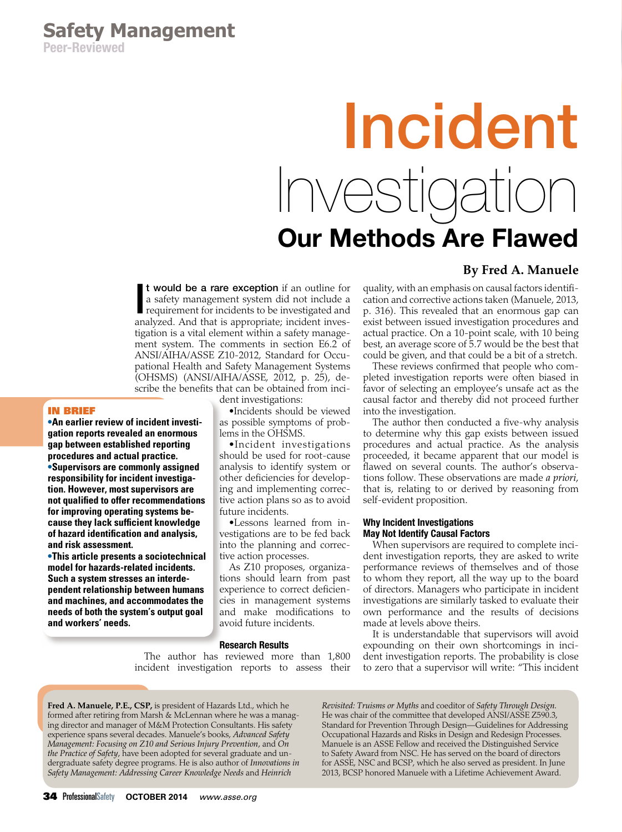# Incident Investigation Our Methods Are Flawed

# **By Fred A. Manuele**

**t would be a rare exception** if an outline for a safety management system did not include a requirement for incidents to be investigated and analyzed. And that is appropriate; incident invest would be a rare exception if an outline for a safety management system did not include a requirement for incidents to be investigated and tigation is a vital element within a safety management system. The comments in section E6.2 of ANSI/AIHA/ASSE Z10-2012, Standard for Occupational Health and Safety Management Systems (OHSMS) (ANSI/AIHA/ASSE, 2012, p. 25), describe the benefits that can be obtained from inci-

# In Brief

**•An earlier review of incident investigation reports revealed an enormous gap between established reporting procedures and actual practice. •Supervisors are commonly assigned responsibility for incident investigation. However, most supervisors are not qualified to offer recommendations for improving operating systems because they lack sufficient knowledge of hazard identification and analysis, and risk assessment.**

**•This article presents a sociotechnical model for hazards-related incidents. Such a system stresses an interdependent relationship between humans and machines, and accommodates the needs of both the system's output goal and workers' needs.**

dent investigations:

•Incidents should be viewed as possible symptoms of problems in the OHSMS.

•Incident investigations should be used for root-cause analysis to identify system or other deficiencies for developing and implementing corrective action plans so as to avoid future incidents.

•Lessons learned from investigations are to be fed back into the planning and corrective action processes.

As Z10 proposes, organizations should learn from past experience to correct deficiencies in management systems and make modifications to avoid future incidents.

#### Research Results

The author has reviewed more than 1,800 incident investigation reports to assess their quality, with an emphasis on causal factors identification and corrective actions taken (Manuele, 2013, p. 316). This revealed that an enormous gap can exist between issued investigation procedures and actual practice. On a 10-point scale, with 10 being best, an average score of 5.7 would be the best that could be given, and that could be a bit of a stretch.

These reviews confirmed that people who completed investigation reports were often biased in favor of selecting an employee's unsafe act as the causal factor and thereby did not proceed further into the investigation.

The author then conducted a five-why analysis to determine why this gap exists between issued procedures and actual practice. As the analysis proceeded, it became apparent that our model is flawed on several counts. The author's observations follow. These observations are made *a priori*, that is, relating to or derived by reasoning from self-evident proposition.

## Why Incident Investigations May Not Identify Causal Factors

When supervisors are required to complete incident investigation reports, they are asked to write performance reviews of themselves and of those to whom they report, all the way up to the board of directors. Managers who participate in incident investigations are similarly tasked to evaluate their own performance and the results of decisions made at levels above theirs.

It is understandable that supervisors will avoid expounding on their own shortcomings in incident investigation reports. The probability is close to zero that a supervisor will write: "This incident

**Fred A. Manuele, P.E., CSP,** is president of Hazards Ltd., which he formed after retiring from Marsh & McLennan where he was a managing director and manager of M&M Protection Consultants. His safety experience spans several decades. Manuele's books, *Advanced Safety Management: Focusing on Z10 and Serious Injury Prevention,* and *On the Practice of Safety,* have been adopted for several graduate and undergraduate safety degree programs. He is also author of *Innovations in Safety Management: Addressing Career Knowledge Needs* and *Heinrich* 

*Revisited: Truisms or Myths* and coeditor of *Safety Through Design.* He was chair of the committee that developed ANSI/ASSE Z590.3, Standard for Prevention Through Design—Guidelines for Addressing Occupational Hazards and Risks in Design and Redesign Processes. Manuele is an ASSE Fellow and received the Distinguished Service to Safety Award from NSC. He has served on the board of directors for ASSE, NSC and BCSP, which he also served as president. In June 2013, BCSP honored Manuele with a Lifetime Achievement Award.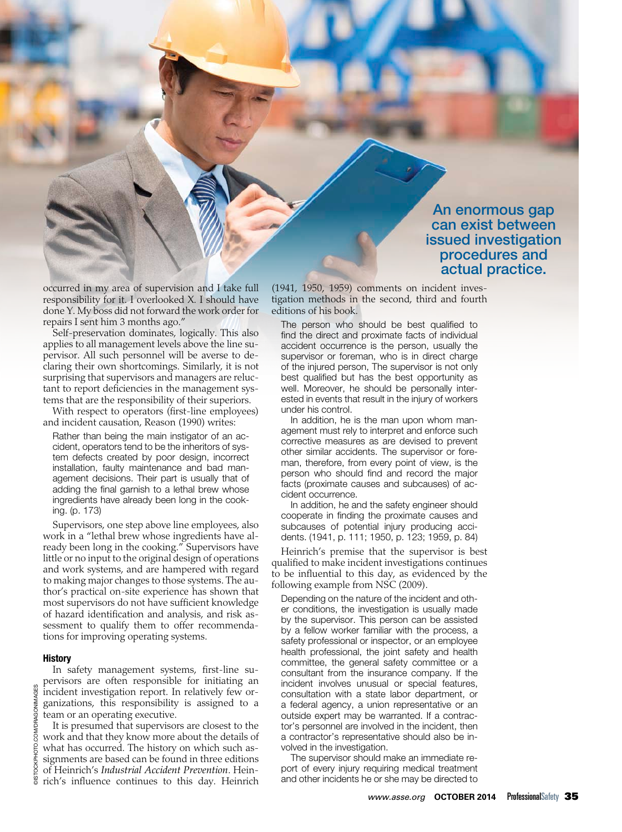An enormous gap can exist between issued investigation procedures and actual practice.

occurred in my area of supervision and I take full responsibility for it. I overlooked X. I should have done Y. My boss did not forward the work order for repairs I sent him 3 months ago."

Self-preservation dominates, logically. This also applies to all management levels above the line supervisor. All such personnel will be averse to declaring their own shortcomings. Similarly, it is not surprising that supervisors and managers are reluctant to report deficiencies in the management systems that are the responsibility of their superiors.

With respect to operators (first-line employees) and incident causation, Reason (1990) writes:

Rather than being the main instigator of an accident, operators tend to be the inheritors of system defects created by poor design, incorrect installation, faulty maintenance and bad management decisions. Their part is usually that of adding the final garnish to a lethal brew whose ingredients have already been long in the cooking. (p. 173)

Supervisors, one step above line employees, also work in a "lethal brew whose ingredients have already been long in the cooking." Supervisors have little or no input to the original design of operations and work systems, and are hampered with regard to making major changes to those systems. The author's practical on-site experience has shown that most supervisors do not have sufficient knowledge of hazard identification and analysis, and risk assessment to qualify them to offer recommendations for improving operating systems.

#### History

In safety management systems, first-line supervisors are often responsible for initiating an incident investigation report. In relatively few organizations, this responsibility is assigned to a team or an operating executive.

It is presumed that supervisors are closest to the work and that they know more about the details of what has occurred. The history on which such assignments are based can be found in three editions of Heinrich's *Industrial Accident Prevention*. Heinrich's influence continues to this day. Heinrich

(1941, 1950, 1959) comments on incident investigation methods in the second, third and fourth editions of his book.

The person who should be best qualified to find the direct and proximate facts of individual accident occurrence is the person, usually the supervisor or foreman, who is in direct charge of the injured person, The supervisor is not only best qualified but has the best opportunity as well. Moreover, he should be personally interested in events that result in the injury of workers under his control.

In addition, he is the man upon whom management must rely to interpret and enforce such corrective measures as are devised to prevent other similar accidents. The supervisor or foreman, therefore, from every point of view, is the person who should find and record the major facts (proximate causes and subcauses) of accident occurrence.

In addition, he and the safety engineer should cooperate in finding the proximate causes and subcauses of potential injury producing accidents. (1941, p. 111; 1950, p. 123; 1959, p. 84)

Heinrich's premise that the supervisor is best qualified to make incident investigations continues to be influential to this day, as evidenced by the following example from NSC (2009).

Depending on the nature of the incident and other conditions, the investigation is usually made by the supervisor. This person can be assisted by a fellow worker familiar with the process, a safety professional or inspector, or an employee health professional, the joint safety and health committee, the general safety committee or a consultant from the insurance company. If the incident involves unusual or special features, consultation with a state labor department, or a federal agency, a union representative or an outside expert may be warranted. If a contractor's personnel are involved in the incident, then a contractor's representative should also be involved in the investigation.

The supervisor should make an immediate report of every injury requiring medical treatment and other incidents he or she may be directed to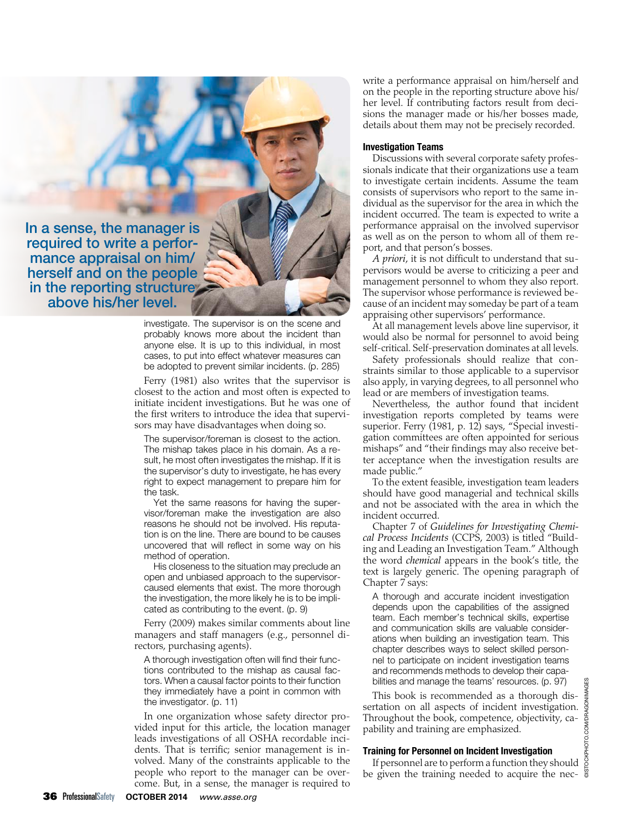In a sense, the manager is required to write a perfor mance appraisal on him/ herself and on the people in the reporting structure above his/her level.

> investigate. The supervisor is on the scene and probably knows more about the incident than anyone else. It is up to this individual, in most cases, to put into effect whatever measures can be adopted to prevent similar incidents. (p. 285)

Ferry (1981) also writes that the supervisor is closest to the action and most often is expected to initiate incident investigations. But he was one of the first writers to introduce the idea that supervisors may have disadvantages when doing so.

The supervisor/foreman is closest to the action. The mishap takes place in his domain. As a result, he most often investigates the mishap. If it is the supervisor's duty to investigate, he has every right to expect management to prepare him for the task.

Yet the same reasons for having the supervisor/foreman make the investigation are also reasons he should not be involved. His reputation is on the line. There are bound to be causes uncovered that will reflect in some way on his method of operation.

His closeness to the situation may preclude an open and unbiased approach to the supervisorcaused elements that exist. The more thorough the investigation, the more likely he is to be implicated as contributing to the event. (p. 9)

Ferry (2009) makes similar comments about line managers and staff managers (e.g., personnel directors, purchasing agents).

A thorough investigation often will find their functions contributed to the mishap as causal factors. When a causal factor points to their function they immediately have a point in common with the investigator. (p. 11)

In one organization whose safety director provided input for this article, the location manager leads investigations of all OSHA recordable incidents. That is terrific; senior management is involved. Many of the constraints applicable to the people who report to the manager can be overcome. But, in a sense, the manager is required to

write a performance appraisal on him/herself and on the people in the reporting structure above his/ her level. If contributing factors result from decisions the manager made or his/her bosses made, details about them may not be precisely recorded.

#### Investigation Teams

Discussions with several corporate safety professionals indicate that their organizations use a team to investigate certain incidents. Assume the team consists of supervisors who report to the same individual as the supervisor for the area in which the incident occurred. The team is expected to write a performance appraisal on the involved supervisor as well as on the person to whom all of them report, and that person's bosses.

*A priori,* it is not difficult to understand that supervisors would be averse to criticizing a peer and management personnel to whom they also report. The supervisor whose performance is reviewed because of an incident may someday be part of a team appraising other supervisors' performance.

At all management levels above line supervisor, it would also be normal for personnel to avoid being self-critical. Self-preservation dominates at all levels.

Safety professionals should realize that constraints similar to those applicable to a supervisor also apply, in varying degrees, to all personnel who lead or are members of investigation teams.

Nevertheless, the author found that incident investigation reports completed by teams were superior. Ferry (1981, p. 12) says, "Special investigation committees are often appointed for serious mishaps" and "their findings may also receive better acceptance when the investigation results are made public."

To the extent feasible, investigation team leaders should have good managerial and technical skills and not be associated with the area in which the incident occurred.

Chapter 7 of *Guidelines for Investigating Chemical Process Incidents* (CCPS, 2003) is titled "Building and Leading an Investigation Team." Although the word *chemical* appears in the book's title, the text is largely generic. The opening paragraph of Chapter 7 says:

A thorough and accurate incident investigation depends upon the capabilities of the assigned team. Each member's technical skills, expertise and communication skills are valuable considerations when building an investigation team. This chapter describes ways to select skilled personnel to participate on incident investigation teams and recommends methods to develop their capabilities and manage the teams' resources. (p. 97)

This book is recommended as a thorough disbilities and manage the teams resources. (p. 97)<br>This book is recommended as a thorough dis-<br>sertation on all aspects of incident investigation.<br>Throughout the book, competence, objectivity, ca-<br>pability and training are e Throughout the book, competence, objectivity, capability and training are emphasized.

# Training for Personnel on Incident Investigation

If personnel are to perform a function they should be given the training needed to acquire the nec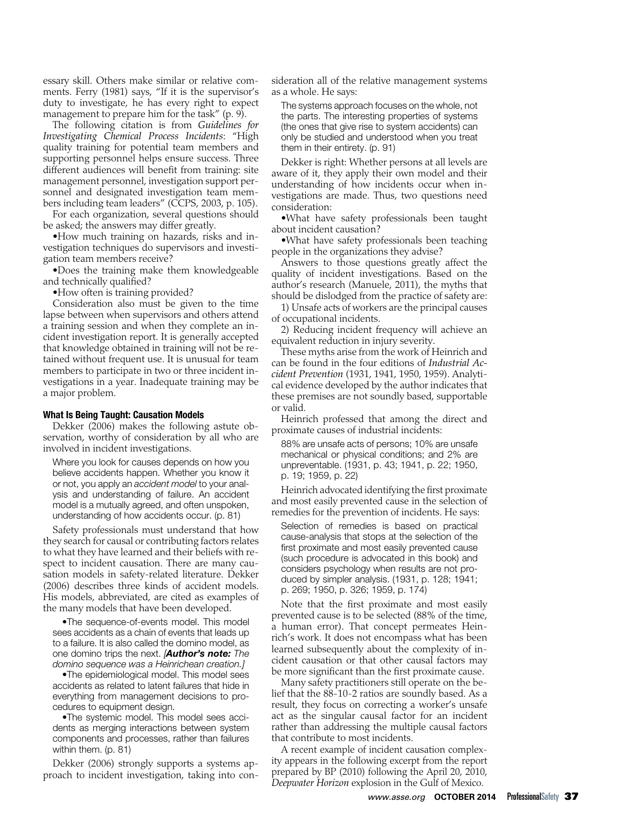essary skill. Others make similar or relative comments. Ferry (1981) says, "If it is the supervisor's duty to investigate, he has every right to expect management to prepare him for the task" (p. 9).

The following citation is from *Guidelines for Investigating Chemical Process Incidents*: "High quality training for potential team members and supporting personnel helps ensure success. Three different audiences will benefit from training: site management personnel, investigation support personnel and designated investigation team members including team leaders" (CCPS, 2003, p. 105).

For each organization, several questions should be asked; the answers may differ greatly.

•How much training on hazards, risks and investigation techniques do supervisors and investigation team members receive?

•Does the training make them knowledgeable and technically qualified?

•How often is training provided?

Consideration also must be given to the time lapse between when supervisors and others attend a training session and when they complete an incident investigation report. It is generally accepted that knowledge obtained in training will not be retained without frequent use. It is unusual for team members to participate in two or three incident investigations in a year. Inadequate training may be a major problem.

### What Is Being Taught: Causation Models

Dekker (2006) makes the following astute observation, worthy of consideration by all who are involved in incident investigations.

Where you look for causes depends on how you believe accidents happen. Whether you know it or not, you apply an *accident model* to your analysis and understanding of failure. An accident model is a mutually agreed, and often unspoken, understanding of how accidents occur. (p. 81)

Safety professionals must understand that how they search for causal or contributing factors relates to what they have learned and their beliefs with respect to incident causation. There are many causation models in safety-related literature. Dekker (2006) describes three kinds of accident models. His models, abbreviated, are cited as examples of the many models that have been developed.

•The sequence-of-events model. This model sees accidents as a chain of events that leads up to a failure. It is also called the domino model, as one domino trips the next. *[Author's note: The domino sequence was a Heinrichean creation.]*

•The epidemiological model. This model sees accidents as related to latent failures that hide in everything from management decisions to procedures to equipment design.

•The systemic model. This model sees accidents as merging interactions between system components and processes, rather than failures within them. (p. 81)

Dekker (2006) strongly supports a systems approach to incident investigation, taking into consideration all of the relative management systems as a whole. He says:

The systems approach focuses on the whole, not the parts. The interesting properties of systems (the ones that give rise to system accidents) can only be studied and understood when you treat them in their entirety. (p. 91)

Dekker is right: Whether persons at all levels are aware of it, they apply their own model and their understanding of how incidents occur when investigations are made. Thus, two questions need consideration:

•What have safety professionals been taught about incident causation?

•What have safety professionals been teaching people in the organizations they advise?

Answers to those questions greatly affect the quality of incident investigations. Based on the author's research (Manuele, 2011), the myths that should be dislodged from the practice of safety are:

1) Unsafe acts of workers are the principal causes of occupational incidents.

2) Reducing incident frequency will achieve an equivalent reduction in injury severity.

These myths arise from the work of Heinrich and can be found in the four editions of *Industrial Accident Prevention* (1931, 1941, 1950, 1959). Analytical evidence developed by the author indicates that these premises are not soundly based, supportable or valid.

Heinrich professed that among the direct and proximate causes of industrial incidents:

88% are unsafe acts of persons; 10% are unsafe mechanical or physical conditions; and 2% are unpreventable. (1931, p. 43; 1941, p. 22; 1950, p. 19; 1959, p. 22)

Heinrich advocated identifying the first proximate and most easily prevented cause in the selection of remedies for the prevention of incidents. He says:

Selection of remedies is based on practical cause-analysis that stops at the selection of the first proximate and most easily prevented cause (such procedure is advocated in this book) and considers psychology when results are not produced by simpler analysis. (1931, p. 128; 1941; p. 269; 1950, p. 326; 1959, p. 174)

Note that the first proximate and most easily prevented cause is to be selected (88% of the time, a human error). That concept permeates Heinrich's work. It does not encompass what has been learned subsequently about the complexity of incident causation or that other causal factors may be more significant than the first proximate cause.

Many safety practitioners still operate on the belief that the 88-10-2 ratios are soundly based. As a result, they focus on correcting a worker's unsafe act as the singular causal factor for an incident rather than addressing the multiple causal factors that contribute to most incidents.

A recent example of incident causation complexity appears in the following excerpt from the report prepared by BP (2010) following the April 20, 2010, *Deepwater Horizon* explosion in the Gulf of Mexico.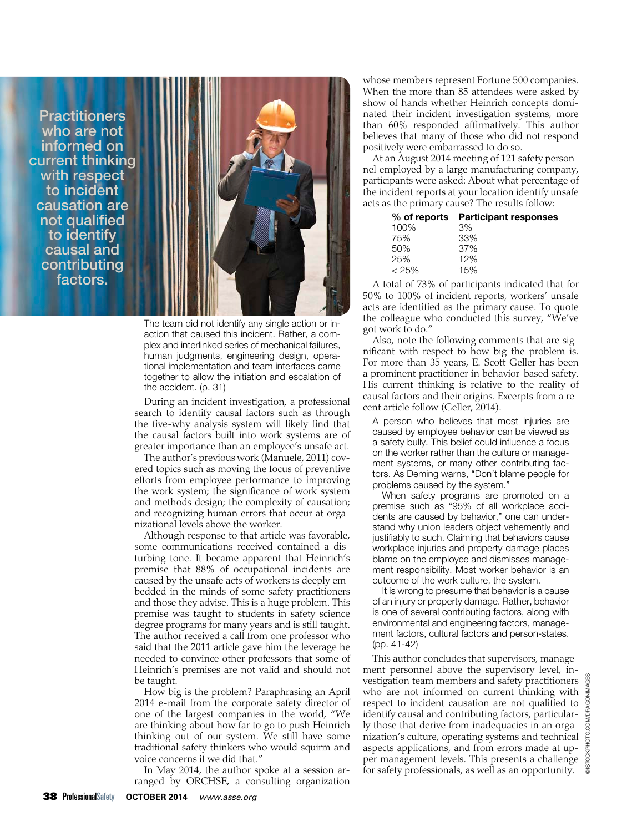**Practitioners** who are not informed on current thinking with respect to incident causation are not qualified to identify causal and contributing factors.



The team did not identify any single action or inaction that caused this incident. Rather, a complex and interlinked series of mechanical failures, human judgments, engineering design, operational implementation and team interfaces came together to allow the initiation and escalation of the accident. (p. 31)

During an incident investigation, a professional search to identify causal factors such as through the five-why analysis system will likely find that the causal factors built into work systems are of greater importance than an employee's unsafe act.

The author's previous work (Manuele, 2011) covered topics such as moving the focus of preventive efforts from employee performance to improving the work system; the significance of work system and methods design; the complexity of causation; and recognizing human errors that occur at organizational levels above the worker.

Although response to that article was favorable, some communications received contained a disturbing tone. It became apparent that Heinrich's premise that 88% of occupational incidents are caused by the unsafe acts of workers is deeply embedded in the minds of some safety practitioners and those they advise. This is a huge problem. This premise was taught to students in safety science degree programs for many years and is still taught. The author received a call from one professor who said that the 2011 article gave him the leverage he needed to convince other professors that some of Heinrich's premises are not valid and should not be taught.

How big is the problem? Paraphrasing an April 2014 e-mail from the corporate safety director of one of the largest companies in the world, "We are thinking about how far to go to push Heinrich thinking out of our system. We still have some traditional safety thinkers who would squirm and voice concerns if we did that."

In May 2014, the author spoke at a session arranged by ORCHSE, a consulting organization whose members represent Fortune 500 companies. When the more than 85 attendees were asked by show of hands whether Heinrich concepts dominated their incident investigation systems, more than 60% responded affirmatively. This author believes that many of those who did not respond positively were embarrassed to do so.

At an August 2014 meeting of 121 safety personnel employed by a large manufacturing company, participants were asked: About what percentage of the incident reports at your location identify unsafe acts as the primary cause? The results follow:

|          | % of reports Participant responses |
|----------|------------------------------------|
| 100%     | 3%                                 |
| 75%      | 33%                                |
| 50%      | 37%                                |
| 25%      | 12%                                |
| $< 25\%$ | 15%                                |
|          |                                    |

A total of 73% of participants indicated that for 50% to 100% of incident reports, workers' unsafe acts are identified as the primary cause. To quote the colleague who conducted this survey, "We've got work to do."

Also, note the following comments that are significant with respect to how big the problem is. For more than 35 years, E. Scott Geller has been a prominent practitioner in behavior-based safety. His current thinking is relative to the reality of causal factors and their origins. Excerpts from a recent article follow (Geller, 2014).

A person who believes that most injuries are caused by employee behavior can be viewed as a safety bully. This belief could influence a focus on the worker rather than the culture or management systems, or many other contributing factors. As Deming warns, "Don't blame people for problems caused by the system."

When safety programs are promoted on a premise such as "95% of all workplace accidents are caused by behavior," one can understand why union leaders object vehemently and justifiably to such. Claiming that behaviors cause workplace injuries and property damage places blame on the employee and dismisses management responsibility. Most worker behavior is an outcome of the work culture, the system.

It is wrong to presume that behavior is a cause of an injury or property damage. Rather, behavior is one of several contributing factors, along with environmental and engineering factors, management factors, cultural factors and person-states. (pp. 41-42)

This author concludes that supervisors, management personnel above the supervisory level, investigation team members and safety practitioners who are not informed on current thinking with respect to incident causation are not qualified to identify causal and contributing factors, particularly those that derive from inadequacies in an organization's culture, operating systems and technical aspects applications, and from errors made at upper management levels. This presents a challenge for safety professionals, as well as an opportunity.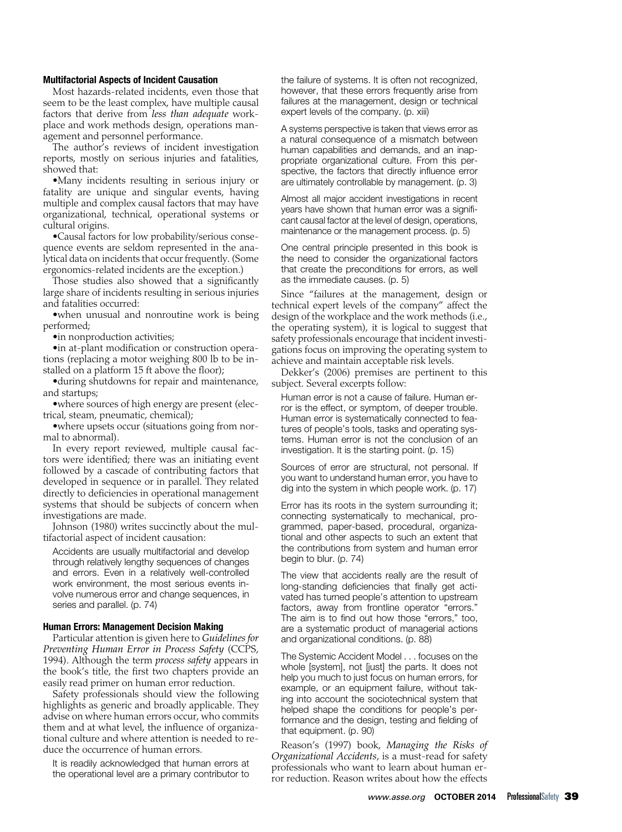# Multifactorial Aspects of Incident Causation

Most hazards-related incidents, even those that seem to be the least complex, have multiple causal factors that derive from *less than adequate* workplace and work methods design, operations management and personnel performance.

The author's reviews of incident investigation reports, mostly on serious injuries and fatalities, showed that:

•Many incidents resulting in serious injury or fatality are unique and singular events, having multiple and complex causal factors that may have organizational, technical, operational systems or cultural origins.

•Causal factors for low probability/serious consequence events are seldom represented in the analytical data on incidents that occur frequently. (Some ergonomics-related incidents are the exception.)

Those studies also showed that a significantly large share of incidents resulting in serious injuries and fatalities occurred:

•when unusual and nonroutine work is being performed;

•in nonproduction activities;

•in at-plant modification or construction operations (replacing a motor weighing 800 lb to be installed on a platform 15 ft above the floor);

•during shutdowns for repair and maintenance, and startups;

•where sources of high energy are present (electrical, steam, pneumatic, chemical);

•where upsets occur (situations going from normal to abnormal).

In every report reviewed, multiple causal factors were identified; there was an initiating event followed by a cascade of contributing factors that developed in sequence or in parallel. They related directly to deficiencies in operational management systems that should be subjects of concern when investigations are made.

Johnson (1980) writes succinctly about the multifactorial aspect of incident causation:

Accidents are usually multifactorial and develop through relatively lengthy sequences of changes and errors. Even in a relatively well-controlled work environment, the most serious events involve numerous error and change sequences, in series and parallel. (p. 74)

#### Human Errors: Management Decision Making

Particular attention is given here to *Guidelines for Preventing Human Error in Process Safety* (CCPS, 1994). Although the term *process safety* appears in the book's title, the first two chapters provide an easily read primer on human error reduction.

Safety professionals should view the following highlights as generic and broadly applicable. They advise on where human errors occur, who commits them and at what level, the influence of organizational culture and where attention is needed to reduce the occurrence of human errors.

It is readily acknowledged that human errors at the operational level are a primary contributor to

the failure of systems. It is often not recognized, however, that these errors frequently arise from failures at the management, design or technical expert levels of the company. (p. xiii)

A systems perspective is taken that views error as a natural consequence of a mismatch between human capabilities and demands, and an inappropriate organizational culture. From this perspective, the factors that directly influence error are ultimately controllable by management. (p. 3)

Almost all major accident investigations in recent years have shown that human error was a significant causal factor at the level of design, operations, maintenance or the management process. (p. 5)

One central principle presented in this book is the need to consider the organizational factors that create the preconditions for errors, as well as the immediate causes. (p. 5)

Since "failures at the management, design or technical expert levels of the company" affect the design of the workplace and the work methods (i.e., the operating system), it is logical to suggest that safety professionals encourage that incident investigations focus on improving the operating system to achieve and maintain acceptable risk levels.

Dekker's (2006) premises are pertinent to this subject. Several excerpts follow:

Human error is not a cause of failure. Human error is the effect, or symptom, of deeper trouble. Human error is systematically connected to features of people's tools, tasks and operating systems. Human error is not the conclusion of an investigation. It is the starting point. (p. 15)

Sources of error are structural, not personal. If you want to understand human error, you have to dig into the system in which people work. (p. 17)

Error has its roots in the system surrounding it; connecting systematically to mechanical, programmed, paper-based, procedural, organizational and other aspects to such an extent that the contributions from system and human error begin to blur. (p. 74)

The view that accidents really are the result of long-standing deficiencies that finally get activated has turned people's attention to upstream factors, away from frontline operator "errors." The aim is to find out how those "errors," too, are a systematic product of managerial actions and organizational conditions. (p. 88)

The Systemic Accident Model . . . focuses on the whole [system], not [just] the parts. It does not help you much to just focus on human errors, for example, or an equipment failure, without taking into account the sociotechnical system that helped shape the conditions for people's performance and the design, testing and fielding of that equipment. (p. 90)

Reason's (1997) book, *Managing the Risks of Organizational Accidents,* is a must-read for safety professionals who want to learn about human error reduction. Reason writes about how the effects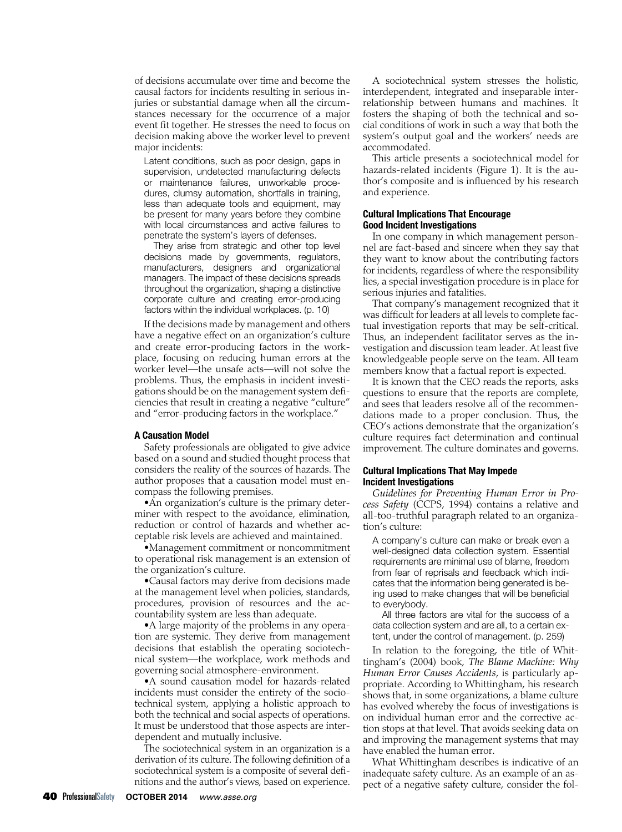of decisions accumulate over time and become the causal factors for incidents resulting in serious injuries or substantial damage when all the circumstances necessary for the occurrence of a major event fit together. He stresses the need to focus on decision making above the worker level to prevent major incidents:

Latent conditions, such as poor design, gaps in supervision, undetected manufacturing defects or maintenance failures, unworkable procedures, clumsy automation, shortfalls in training, less than adequate tools and equipment, may be present for many years before they combine with local circumstances and active failures to penetrate the system's layers of defenses.

They arise from strategic and other top level decisions made by governments, regulators, manufacturers, designers and organizational managers. The impact of these decisions spreads throughout the organization, shaping a distinctive corporate culture and creating error-producing factors within the individual workplaces. (p. 10)

If the decisions made by management and others have a negative effect on an organization's culture and create error-producing factors in the workplace, focusing on reducing human errors at the worker level—the unsafe acts—will not solve the problems. Thus, the emphasis in incident investigations should be on the management system deficiencies that result in creating a negative "culture" and "error-producing factors in the workplace."

#### A Causation Model

Safety professionals are obligated to give advice based on a sound and studied thought process that considers the reality of the sources of hazards. The author proposes that a causation model must encompass the following premises.

•An organization's culture is the primary determiner with respect to the avoidance, elimination, reduction or control of hazards and whether acceptable risk levels are achieved and maintained.

•Management commitment or noncommitment to operational risk management is an extension of the organization's culture.

•Causal factors may derive from decisions made at the management level when policies, standards, procedures, provision of resources and the accountability system are less than adequate.

•A large majority of the problems in any operation are systemic. They derive from management decisions that establish the operating sociotechnical system—the workplace, work methods and governing social atmosphere-environment.

•A sound causation model for hazards-related incidents must consider the entirety of the sociotechnical system, applying a holistic approach to both the technical and social aspects of operations. It must be understood that those aspects are interdependent and mutually inclusive.

The sociotechnical system in an organization is a derivation of its culture. The following definition of a sociotechnical system is a composite of several definitions and the author's views, based on experience.

A sociotechnical system stresses the holistic, interdependent, integrated and inseparable interrelationship between humans and machines. It fosters the shaping of both the technical and social conditions of work in such a way that both the system's output goal and the workers' needs are accommodated.

This article presents a sociotechnical model for hazards-related incidents (Figure 1). It is the author's composite and is influenced by his research and experience.

# Cultural Implications That Encourage Good Incident Investigations

In one company in which management personnel are fact-based and sincere when they say that they want to know about the contributing factors for incidents, regardless of where the responsibility lies, a special investigation procedure is in place for serious injuries and fatalities.

That company's management recognized that it was difficult for leaders at all levels to complete factual investigation reports that may be self-critical. Thus, an independent facilitator serves as the investigation and discussion team leader. At least five knowledgeable people serve on the team. All team members know that a factual report is expected.

It is known that the CEO reads the reports, asks questions to ensure that the reports are complete, and sees that leaders resolve all of the recommendations made to a proper conclusion. Thus, the CEO's actions demonstrate that the organization's culture requires fact determination and continual improvement. The culture dominates and governs.

# Cultural Implications That May Impede Incident Investigations

*Guidelines for Preventing Human Error in Process Safety* (CCPS, 1994) contains a relative and all-too-truthful paragraph related to an organization's culture:

A company's culture can make or break even a well-designed data collection system. Essential requirements are minimal use of blame, freedom from fear of reprisals and feedback which indicates that the information being generated is being used to make changes that will be beneficial to everybody.

All three factors are vital for the success of a data collection system and are all, to a certain extent, under the control of management. (p. 259)

In relation to the foregoing, the title of Whittingham's (2004) book, *The Blame Machine: Why Human Error Causes Accidents,* is particularly appropriate. According to Whittingham, his research shows that, in some organizations, a blame culture has evolved whereby the focus of investigations is on individual human error and the corrective action stops at that level. That avoids seeking data on and improving the management systems that may have enabled the human error.

What Whittingham describes is indicative of an inadequate safety culture. As an example of an aspect of a negative safety culture, consider the fol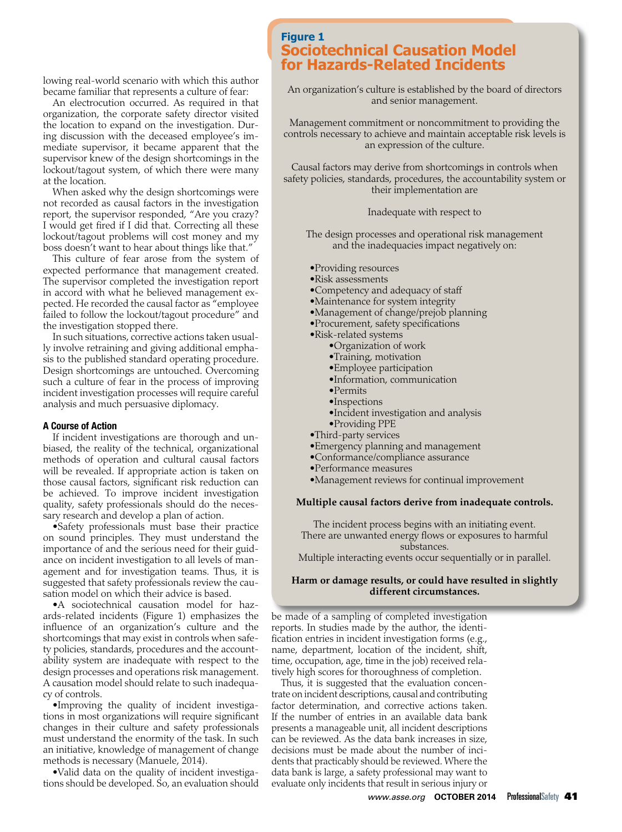lowing real-world scenario with which this author became familiar that represents a culture of fear:

An electrocution occurred. As required in that organization, the corporate safety director visited the location to expand on the investigation. During discussion with the deceased employee's immediate supervisor, it became apparent that the supervisor knew of the design shortcomings in the lockout/tagout system, of which there were many at the location.

When asked why the design shortcomings were not recorded as causal factors in the investigation report, the supervisor responded, "Are you crazy? I would get fired if I did that. Correcting all these lockout/tagout problems will cost money and my boss doesn't want to hear about things like that."

This culture of fear arose from the system of expected performance that management created. The supervisor completed the investigation report in accord with what he believed management expected. He recorded the causal factor as "employee failed to follow the lockout/tagout procedure" and the investigation stopped there.

In such situations, corrective actions taken usually involve retraining and giving additional emphasis to the published standard operating procedure. Design shortcomings are untouched. Overcoming such a culture of fear in the process of improving incident investigation processes will require careful analysis and much persuasive diplomacy.

## A Course of Action

If incident investigations are thorough and unbiased, the reality of the technical, organizational methods of operation and cultural causal factors will be revealed. If appropriate action is taken on those causal factors, significant risk reduction can be achieved. To improve incident investigation quality, safety professionals should do the necessary research and develop a plan of action.

•Safety professionals must base their practice on sound principles. They must understand the importance of and the serious need for their guidance on incident investigation to all levels of management and for investigation teams. Thus, it is suggested that safety professionals review the causation model on which their advice is based.

•A sociotechnical causation model for hazards-related incidents (Figure 1) emphasizes the influence of an organization's culture and the shortcomings that may exist in controls when safety policies, standards, procedures and the accountability system are inadequate with respect to the design processes and operations risk management. A causation model should relate to such inadequacy of controls.

•Improving the quality of incident investigations in most organizations will require significant changes in their culture and safety professionals must understand the enormity of the task. In such an initiative, knowledge of management of change methods is necessary (Manuele, 2014).

•Valid data on the quality of incident investigations should be developed. So, an evaluation should

# **Figure 1 Sociotechnical Causation Model for Hazards-Related Incidents**

An organization's culture is established by the board of directors and senior management.

Management commitment or noncommitment to providing the controls necessary to achieve and maintain acceptable risk levels is an expression of the culture.

Causal factors may derive from shortcomings in controls when safety policies, standards, procedures, the accountability system or their implementation are

### Inadequate with respect to

The design processes and operational risk management and the inadequacies impact negatively on:

- •Providing resources
- •Risk assessments
- •Competency and adequacy of staff
- •Maintenance for system integrity
- •Management of change/prejob planning
- •Procurement, safety specifications
- •Risk-related systems
	- •Organization of work
	- •Training, motivation
	- •Employee participation
	- •Information, communication
	-
	- •Permits
	- •Inspections
	- •Incident investigation and analysis
- •Providing PPE
- •Third-party services
- •Emergency planning and management
- •Conformance/compliance assurance
- •Performance measures
- •Management reviews for continual improvement

#### **Multiple causal factors derive from inadequate controls.**

The incident process begins with an initiating event. There are unwanted energy flows or exposures to harmful substances.

Multiple interacting events occur sequentially or in parallel.

# **Harm or damage results, or could have resulted in slightly different circumstances.**

be made of a sampling of completed investigation reports. In studies made by the author, the identification entries in incident investigation forms (e.g., name, department, location of the incident, shift, time, occupation, age, time in the job) received relatively high scores for thoroughness of completion.

Thus, it is suggested that the evaluation concentrate on incident descriptions, causal and contributing factor determination, and corrective actions taken. If the number of entries in an available data bank presents a manageable unit, all incident descriptions can be reviewed. As the data bank increases in size, decisions must be made about the number of incidents that practicably should be reviewed. Where the data bank is large, a safety professional may want to evaluate only incidents that result in serious injury or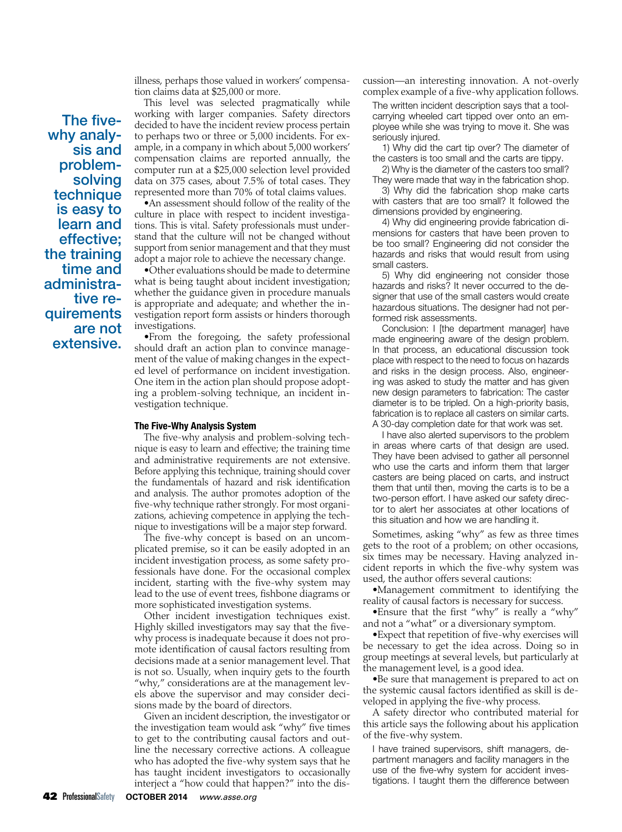illness, perhaps those valued in workers' compensation claims data at \$25,000 or more.

The fivewhy analysis and problemsolving technique is easy to learn and effective; the training time and administrative requirements are not extensive.

This level was selected pragmatically while working with larger companies. Safety directors decided to have the incident review process pertain to perhaps two or three or 5,000 incidents. For example, in a company in which about 5,000 workers' compensation claims are reported annually, the computer run at a \$25,000 selection level provided data on 375 cases, about 7.5% of total cases. They represented more than 70% of total claims values.

•An assessment should follow of the reality of the culture in place with respect to incident investigations. This is vital. Safety professionals must understand that the culture will not be changed without support from senior management and that they must adopt a major role to achieve the necessary change.

•Other evaluations should be made to determine what is being taught about incident investigation; whether the guidance given in procedure manuals is appropriate and adequate; and whether the investigation report form assists or hinders thorough investigations.

•From the foregoing, the safety professional should draft an action plan to convince management of the value of making changes in the expected level of performance on incident investigation. One item in the action plan should propose adopting a problem-solving technique, an incident investigation technique.

#### The Five-Why Analysis System

The five-why analysis and problem-solving technique is easy to learn and effective; the training time and administrative requirements are not extensive. Before applying this technique, training should cover the fundamentals of hazard and risk identification and analysis. The author promotes adoption of the five-why technique rather strongly. For most organizations, achieving competence in applying the technique to investigations will be a major step forward.

The five-why concept is based on an uncomplicated premise, so it can be easily adopted in an incident investigation process, as some safety professionals have done. For the occasional complex incident, starting with the five-why system may lead to the use of event trees, fishbone diagrams or more sophisticated investigation systems.

Other incident investigation techniques exist. Highly skilled investigators may say that the fivewhy process is inadequate because it does not promote identification of causal factors resulting from decisions made at a senior management level. That is not so. Usually, when inquiry gets to the fourth "why," considerations are at the management levels above the supervisor and may consider decisions made by the board of directors.

Given an incident description, the investigator or the investigation team would ask "why" five times to get to the contributing causal factors and outline the necessary corrective actions. A colleague who has adopted the five-why system says that he has taught incident investigators to occasionally interject a "how could that happen?" into the discussion—an interesting innovation. A not-overly complex example of a five-why application follows.

The written incident description says that a toolcarrying wheeled cart tipped over onto an employee while she was trying to move it. She was seriously injured.

1) Why did the cart tip over? The diameter of the casters is too small and the carts are tippy.

2) Why is the diameter of the casters too small? They were made that way in the fabrication shop.

3) Why did the fabrication shop make carts with casters that are too small? It followed the dimensions provided by engineering.

4) Why did engineering provide fabrication dimensions for casters that have been proven to be too small? Engineering did not consider the hazards and risks that would result from using small casters.

5) Why did engineering not consider those hazards and risks? It never occurred to the designer that use of the small casters would create hazardous situations. The designer had not performed risk assessments.

Conclusion: I [the department manager] have made engineering aware of the design problem. In that process, an educational discussion took place with respect to the need to focus on hazards and risks in the design process. Also, engineering was asked to study the matter and has given new design parameters to fabrication: The caster diameter is to be tripled. On a high-priority basis, fabrication is to replace all casters on similar carts. A 30-day completion date for that work was set.

I have also alerted supervisors to the problem in areas where carts of that design are used. They have been advised to gather all personnel who use the carts and inform them that larger casters are being placed on carts, and instruct them that until then, moving the carts is to be a two-person effort. I have asked our safety director to alert her associates at other locations of this situation and how we are handling it.

Sometimes, asking "why" as few as three times gets to the root of a problem; on other occasions, six times may be necessary. Having analyzed incident reports in which the five-why system was used, the author offers several cautions:

•Management commitment to identifying the reality of causal factors is necessary for success.

•Ensure that the first "why" is really a "why" and not a "what" or a diversionary symptom.

•Expect that repetition of five-why exercises will be necessary to get the idea across. Doing so in group meetings at several levels, but particularly at the management level, is a good idea.

•Be sure that management is prepared to act on the systemic causal factors identified as skill is developed in applying the five-why process.

A safety director who contributed material for this article says the following about his application of the five-why system.

I have trained supervisors, shift managers, department managers and facility managers in the use of the five-why system for accident investigations. I taught them the difference between